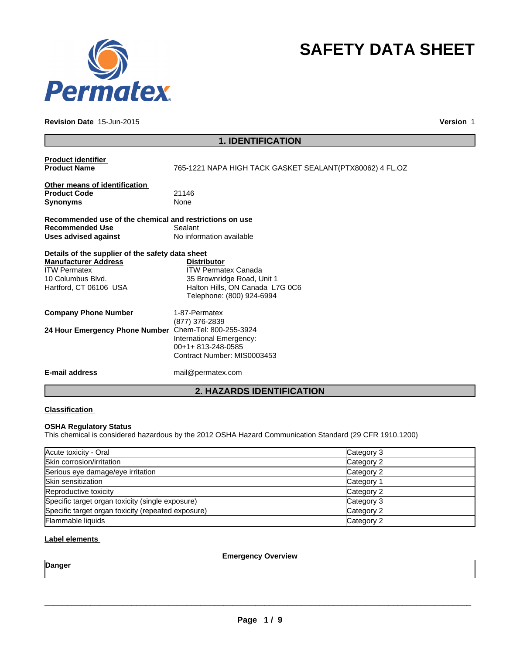

#### **Revision Date** 15-Jun-2015

**Version** 1

**SAFETY DATA SHEET**

| <b>1. IDENTIFICATION</b>                                                                          |                                                                                                                                                |  |
|---------------------------------------------------------------------------------------------------|------------------------------------------------------------------------------------------------------------------------------------------------|--|
| <b>Product identifier</b><br><b>Product Name</b>                                                  | 765-1221 NAPA HIGH TACK GASKET SEALANT(PTX80062) 4 FL.OZ                                                                                       |  |
| Other means of identification<br><b>Product Code</b><br><b>Synonyms</b>                           | 21146<br>None                                                                                                                                  |  |
| Recommended use of the chemical and restrictions on use                                           |                                                                                                                                                |  |
| <b>Recommended Use</b><br><b>Uses advised against</b>                                             | Sealant<br>No information available                                                                                                            |  |
| Details of the supplier of the safety data sheet                                                  |                                                                                                                                                |  |
| <b>Manufacturer Address</b><br><b>ITW Permatex</b><br>10 Columbus Blvd.<br>Hartford, CT 06106 USA | <b>Distributor</b><br><b>ITW Permatex Canada</b><br>35 Brownridge Road, Unit 1<br>Halton Hills, ON Canada L7G 0C6<br>Telephone: (800) 924-6994 |  |
| <b>Company Phone Number</b>                                                                       | 1-87-Permatex<br>(877) 376-2839                                                                                                                |  |
| 24 Hour Emergency Phone Number                                                                    | Chem-Tel: 800-255-3924<br>International Emergency:<br>00+1+813-248-0585<br>Contract Number: MIS0003453                                         |  |
| <b>E-mail address</b>                                                                             | mail@permatex.com                                                                                                                              |  |
| <b>2. HAZARDS IDENTIFICATION</b>                                                                  |                                                                                                                                                |  |

## **Classification**

## **OSHA Regulatory Status**

This chemical is considered hazardous by the 2012 OSHA Hazard Communication Standard (29 CFR 1910.1200)

| Acute toxicity - Oral                              | Category 3 |
|----------------------------------------------------|------------|
| Skin corrosion/irritation                          | Category 2 |
| Serious eye damage/eye irritation                  | Category 2 |
| <b>Skin sensitization</b>                          | Category 1 |
| Reproductive toxicity                              | Category 2 |
| Specific target organ toxicity (single exposure)   | Category 3 |
| Specific target organ toxicity (repeated exposure) | Category 2 |
| Flammable liquids                                  | Category 2 |

# **Label elements**

**Emergency Overview**

**Danger**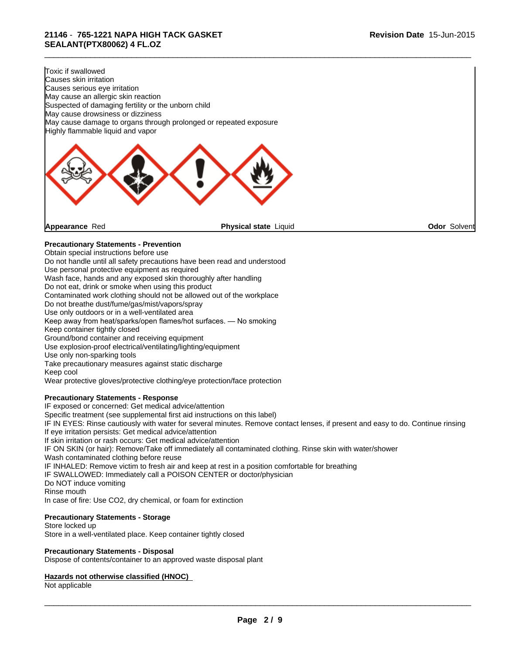| Toxic if swallowed                                                |                                                                           |                     |
|-------------------------------------------------------------------|---------------------------------------------------------------------------|---------------------|
| Causes skin irritation                                            |                                                                           |                     |
| Causes serious eye irritation                                     |                                                                           |                     |
| May cause an allergic skin reaction                               |                                                                           |                     |
| Suspected of damaging fertility or the unborn child               |                                                                           |                     |
| May cause drowsiness or dizziness                                 |                                                                           |                     |
|                                                                   | May cause damage to organs through prolonged or repeated exposure         |                     |
| Highly flammable liquid and vapor                                 |                                                                           |                     |
|                                                                   |                                                                           |                     |
| Appearance Red                                                    | Physical state Liquid                                                     | <b>Odor Solvent</b> |
| <b>Precautionary Statements - Prevention</b>                      |                                                                           |                     |
| Obtain special instructions before use                            |                                                                           |                     |
|                                                                   | Do not handle until all safety precautions have been read and understood  |                     |
| Use personal protective equipment as required                     |                                                                           |                     |
| Wash face, hands and any exposed skin thoroughly after handling   |                                                                           |                     |
| Do not eat, drink or smoke when using this product                |                                                                           |                     |
|                                                                   | Contaminated work clothing should not be allowed out of the workplace     |                     |
| Do not breathe dust/fume/gas/mist/vapors/spray                    |                                                                           |                     |
| Use only outdoors or in a well-ventilated area                    |                                                                           |                     |
| Keep away from heat/sparks/open flames/hot surfaces. - No smoking |                                                                           |                     |
| Keep container tightly closed                                     |                                                                           |                     |
| Ground/bond container and receiving equipment                     |                                                                           |                     |
| Use explosion-proof electrical/ventilating/lighting/equipment     |                                                                           |                     |
| Use only non-sparking tools                                       |                                                                           |                     |
| Take precautionary measures against static discharge              |                                                                           |                     |
| Keep cool                                                         |                                                                           |                     |
|                                                                   | Wear protective gloves/protective clothing/eye protection/face protection |                     |
| <b>Precautionary Statements - Response</b>                        |                                                                           |                     |

IF exposed or concerned: Get medical advice/attention

Specific treatment (see supplemental first aid instructions on this label)

IF IN EYES: Rinse cautiously with water for several minutes. Remove contact lenses, if present and easy to do. Continue rinsing If eye irritation persists: Get medical advice/attention

If skin irritation or rash occurs: Get medical advice/attention

IF ON SKIN (or hair): Remove/Take off immediately all contaminated clothing. Rinse skin with water/shower

Wash contaminated clothing before reuse

IF INHALED: Remove victim to fresh air and keep at rest in a position comfortable for breathing

IF SWALLOWED: Immediately call a POISON CENTER or doctor/physician

Do NOT induce vomiting

Rinse mouth

In case of fire: Use CO2, dry chemical, or foam for extinction

# **Precautionary Statements - Storage**

Store locked up Store in a well-ventilated place. Keep container tightly closed

#### **Precautionary Statements - Disposal**

Dispose of contents/container to an approved waste disposal plant

## **Hazards not otherwise classified (HNOC)**

Not applicable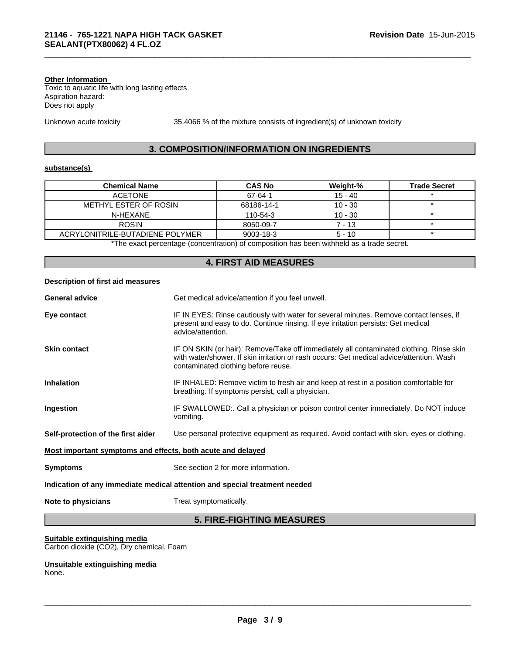#### **Other Information**

Toxic to aquatic life with long lasting effects Aspiration hazard: Does not apply

Unknown acute toxicity 35.4066 % of the mixture consists of ingredient(s) of unknown toxicity

\_\_\_\_\_\_\_\_\_\_\_\_\_\_\_\_\_\_\_\_\_\_\_\_\_\_\_\_\_\_\_\_\_\_\_\_\_\_\_\_\_\_\_\_\_\_\_\_\_\_\_\_\_\_\_\_\_\_\_\_\_\_\_\_\_\_\_\_\_\_\_\_\_\_\_\_\_\_\_\_\_\_\_\_\_\_\_\_\_\_\_\_\_

## **3. COMPOSITION/INFORMATION ON INGREDIENTS**

#### **substance(s)**

| <b>Chemical Name</b>                                                                      | <b>CAS No</b>   | Weight-%  | <b>Trade Secret</b> |
|-------------------------------------------------------------------------------------------|-----------------|-----------|---------------------|
| <b>ACETONE</b>                                                                            | 67-64-1         | $15 - 40$ |                     |
| METHYL ESTER OF ROSIN                                                                     | 68186-14-1      | $10 - 30$ |                     |
| N-HFXANF                                                                                  | 110-54-3        | $10 - 30$ |                     |
| <b>ROSIN</b>                                                                              | 8050-09-7       | $7 - 13$  |                     |
| ACRYLONITRILE-BUTADIENE POLYMER                                                           | $9003 - 18 - 3$ | $5 - 10$  |                     |
| *The exact percentage (concentration) of composition has been withheld as a trade secret. |                 |           |                     |

**4. FIRST AID MEASURES Description of first aid measures General advice** Get medical advice/attention if you feel unwell. **Eye contact IF IN EYES: Rinse cautiously with water for several minutes. Remove contact lenses, if** present and easy to do. Continue rinsing. If eye irritation persists: Get medical advice/attention. **Skin contact IF ON SKIN** (or hair): Remove/Take off immediately all contaminated clothing. Rinse skin with water/shower. If skin irritation or rash occurs: Get medical advice/attention. Wash contaminated clothing before reuse. **Inhalation** IF INHALED: Remove victim to fresh air and keep at rest in a position comfortable for breathing. If symptoms persist, call a physician. Ingestion **IF SWALLOWED:**. Call a physician or poison control center immediately. Do NOT induce vomiting. **Self-protection of the first aider** Use personal protective equipment as required. Avoid contact with skin, eyes or clothing. **Most important symptoms and effects, both acute and delayed Symptoms** See section 2 for more information. **Indication of any immediate medical attention and special treatment needed Note to physicians** Treat symptomatically.

# **5. FIRE-FIGHTING MEASURES**

**Suitable extinguishing media** Carbon dioxide (CO2), Dry chemical, Foam

**Unsuitable extinguishing media** None.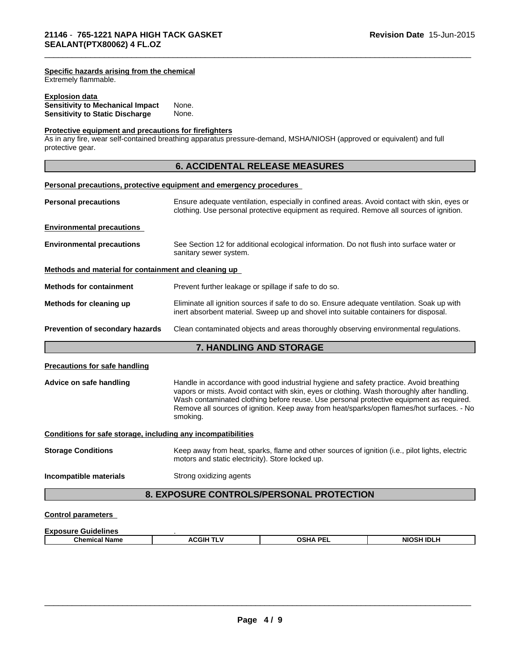Extremely flammable.

## **Explosion data**

| <b>Sensitivity to Mechanical Impact</b> | None. |  |
|-----------------------------------------|-------|--|
| <b>Sensitivity to Static Discharge</b>  | None. |  |

#### **Protective equipment and precautions for firefighters**

As in any fire, wear self-contained breathing apparatus pressure-demand, MSHA/NIOSH (approved or equivalent) and full protective gear.

# **6. ACCIDENTAL RELEASE MEASURES**

\_\_\_\_\_\_\_\_\_\_\_\_\_\_\_\_\_\_\_\_\_\_\_\_\_\_\_\_\_\_\_\_\_\_\_\_\_\_\_\_\_\_\_\_\_\_\_\_\_\_\_\_\_\_\_\_\_\_\_\_\_\_\_\_\_\_\_\_\_\_\_\_\_\_\_\_\_\_\_\_\_\_\_\_\_\_\_\_\_\_\_\_\_

| Personal precautions, protective equipment and emergency procedures |                                                       |                                                                                                                                                                                                                                                                                                                                                                               |                   |  |  |  |
|---------------------------------------------------------------------|-------------------------------------------------------|-------------------------------------------------------------------------------------------------------------------------------------------------------------------------------------------------------------------------------------------------------------------------------------------------------------------------------------------------------------------------------|-------------------|--|--|--|
| <b>Personal precautions</b>                                         |                                                       | Ensure adequate ventilation, especially in confined areas. Avoid contact with skin, eyes or<br>clothing. Use personal protective equipment as required. Remove all sources of ignition.                                                                                                                                                                                       |                   |  |  |  |
| <b>Environmental precautions</b>                                    |                                                       |                                                                                                                                                                                                                                                                                                                                                                               |                   |  |  |  |
| <b>Environmental precautions</b>                                    | sanitary sewer system.                                | See Section 12 for additional ecological information. Do not flush into surface water or                                                                                                                                                                                                                                                                                      |                   |  |  |  |
| Methods and material for containment and cleaning up                |                                                       |                                                                                                                                                                                                                                                                                                                                                                               |                   |  |  |  |
| <b>Methods for containment</b>                                      | Prevent further leakage or spillage if safe to do so. |                                                                                                                                                                                                                                                                                                                                                                               |                   |  |  |  |
| Methods for cleaning up                                             |                                                       | Eliminate all ignition sources if safe to do so. Ensure adequate ventilation. Soak up with<br>inert absorbent material. Sweep up and shovel into suitable containers for disposal.                                                                                                                                                                                            |                   |  |  |  |
| Prevention of secondary hazards                                     |                                                       | Clean contaminated objects and areas thoroughly observing environmental regulations.                                                                                                                                                                                                                                                                                          |                   |  |  |  |
|                                                                     | 7. HANDLING AND STORAGE                               |                                                                                                                                                                                                                                                                                                                                                                               |                   |  |  |  |
| <b>Precautions for safe handling</b>                                |                                                       |                                                                                                                                                                                                                                                                                                                                                                               |                   |  |  |  |
| Advice on safe handling                                             | smoking.                                              | Handle in accordance with good industrial hygiene and safety practice. Avoid breathing<br>vapors or mists. Avoid contact with skin, eyes or clothing. Wash thoroughly after handling.<br>Wash contaminated clothing before reuse. Use personal protective equipment as required.<br>Remove all sources of ignition. Keep away from heat/sparks/open flames/hot surfaces. - No |                   |  |  |  |
| Conditions for safe storage, including any incompatibilities        |                                                       |                                                                                                                                                                                                                                                                                                                                                                               |                   |  |  |  |
| <b>Storage Conditions</b>                                           | motors and static electricity). Store locked up.      | Keep away from heat, sparks, flame and other sources of ignition (i.e., pilot lights, electric                                                                                                                                                                                                                                                                                |                   |  |  |  |
| Incompatible materials                                              | Strong oxidizing agents                               |                                                                                                                                                                                                                                                                                                                                                                               |                   |  |  |  |
|                                                                     |                                                       | 8. EXPOSURE CONTROLS/PERSONAL PROTECTION                                                                                                                                                                                                                                                                                                                                      |                   |  |  |  |
| <b>Control parameters</b>                                           |                                                       |                                                                                                                                                                                                                                                                                                                                                                               |                   |  |  |  |
| <b>Exposure Guidelines</b>                                          |                                                       |                                                                                                                                                                                                                                                                                                                                                                               |                   |  |  |  |
| <b>Chemical Name</b>                                                | <b>ACGIH TLV</b>                                      | <b>OSHA PEL</b>                                                                                                                                                                                                                                                                                                                                                               | <b>NIOSH IDLH</b> |  |  |  |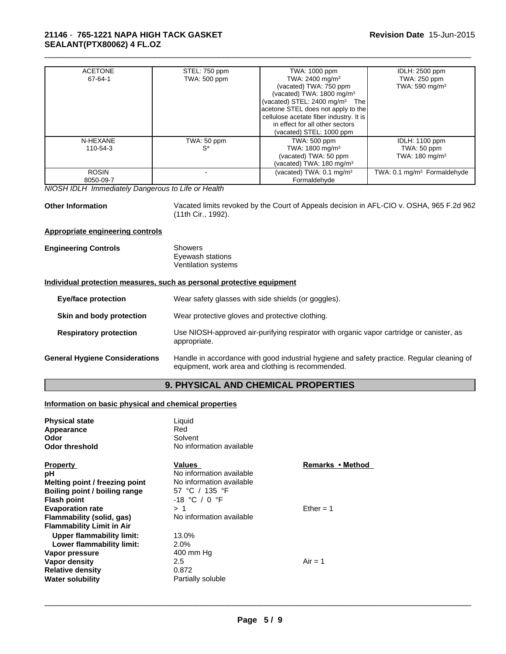# **21146** - **765-1221 NAPA HIGH TACK GASKET SEALANT(PTX80062) 4 FL.OZ**

| <b>ACETONE</b> | STEL: 750 ppm       | TWA: 1000 ppm                              | IDLH: 2500 ppm                          |
|----------------|---------------------|--------------------------------------------|-----------------------------------------|
| 67-64-1        | <b>TWA: 500 ppm</b> | TWA: 2400 mg/m <sup>3</sup>                | TWA: 250 ppm                            |
|                |                     | (vacated) TWA: 750 ppm                     | TWA: $590 \text{ mg/m}^3$               |
|                |                     | (vacated) TWA: 1800 mg/m <sup>3</sup>      |                                         |
|                |                     | (vacated) STEL: 2400 mg/m <sup>3</sup> The |                                         |
|                |                     | acetone STEL does not apply to the         |                                         |
|                |                     | cellulose acetate fiber industry. It is    |                                         |
|                |                     | in effect for all other sectors            |                                         |
|                |                     | (vacated) STEL: 1000 ppm                   |                                         |
| N-HEXANE       | TWA: 50 ppm         | <b>TWA: 500 ppm</b>                        | <b>IDLH: 1100 ppm</b>                   |
| 110-54-3       | $S^*$               | TWA: $1800 \text{ mg/m}^3$                 | TWA: 50 ppm                             |
|                |                     | (vacated) TWA: 50 ppm                      | TWA: 180 mg/m <sup>3</sup>              |
|                |                     | (vacated) TWA: $180 \text{ mg/m}^3$        |                                         |
| <b>ROSIN</b>   |                     | (vacated) TWA: 0.1 mg/m <sup>3</sup>       | TWA: 0.1 mg/m <sup>3</sup> Formaldehyde |
| 8050-09-7      |                     | Formaldehyde                               |                                         |

*NIOSH IDLH Immediately Dangerous to Life or Health*

**Other Information** Vacated limits revoked by the Court of Appeals decision in AFL-CIO v. OSHA, 965 F.2d 962 (11th Cir., 1992).

\_\_\_\_\_\_\_\_\_\_\_\_\_\_\_\_\_\_\_\_\_\_\_\_\_\_\_\_\_\_\_\_\_\_\_\_\_\_\_\_\_\_\_\_\_\_\_\_\_\_\_\_\_\_\_\_\_\_\_\_\_\_\_\_\_\_\_\_\_\_\_\_\_\_\_\_\_\_\_\_\_\_\_\_\_\_\_\_\_\_\_\_\_

# **Appropriate engineering controls**

| <b>Engineering Controls</b> | Showers             |
|-----------------------------|---------------------|
|                             | Eyewash stations    |
|                             | Ventilation systems |

# **Individual protection measures, such as personal protective equipment**

| <b>Eye/face protection</b> |                                       | Wear safety glasses with side shields (or goggles).                                                                                             |  |  |
|----------------------------|---------------------------------------|-------------------------------------------------------------------------------------------------------------------------------------------------|--|--|
|                            | Skin and body protection              | Wear protective gloves and protective clothing.                                                                                                 |  |  |
|                            | <b>Respiratory protection</b>         | Use NIOSH-approved air-purifying respirator with organic vapor cartridge or canister, as<br>appropriate.                                        |  |  |
|                            | <b>General Hygiene Considerations</b> | Handle in accordance with good industrial hygiene and safety practice. Regular cleaning of<br>equipment, work area and clothing is recommended. |  |  |

# **9. PHYSICAL AND CHEMICAL PROPERTIES**

# **Information on basic physical and chemical properties**

| <b>Physical state</b><br>Appearance<br>Odor<br><b>Odor threshold</b>                                                                            | Liquid<br>Red<br>Solvent<br>No information available                                                |                  |
|-------------------------------------------------------------------------------------------------------------------------------------------------|-----------------------------------------------------------------------------------------------------|------------------|
| <b>Property</b><br>рH<br>Melting point / freezing point<br>Boiling point / boiling range<br><b>Flash point</b>                                  | Values<br>No information available<br>No information available<br>57 °C / 135 °F<br>$-18$ °C / 0 °F | Remarks • Method |
| <b>Evaporation rate</b><br>Flammability (solid, gas)<br><b>Flammability Limit in Air</b>                                                        | >1<br>No information available                                                                      | $E$ ther = 1     |
| Upper flammability limit:<br>Lower flammability limit:<br>Vapor pressure<br>Vapor density<br><b>Relative density</b><br><b>Water solubility</b> | 13.0%<br>2.0%<br>400 mm Hg<br>2.5<br>0.872<br>Partially soluble                                     | $Air = 1$        |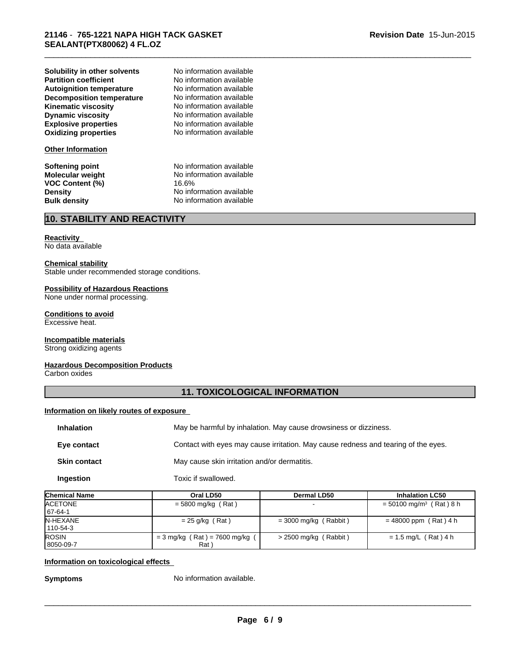**Explosive properties** No information available<br> **Oxidizing properties** No information available **Partition coefficient No information available**<br> **Autoignition temperature No information available Dynamic viscosity** No information available **Solubility in other solvents Autoignition temperature Decomposition temperature** No information available **Kinematic viscosity** No information available

#### **Other Information**

**VOC Content (%)** 16.6%

**Oxidizing properties** No information available No information available

\_\_\_\_\_\_\_\_\_\_\_\_\_\_\_\_\_\_\_\_\_\_\_\_\_\_\_\_\_\_\_\_\_\_\_\_\_\_\_\_\_\_\_\_\_\_\_\_\_\_\_\_\_\_\_\_\_\_\_\_\_\_\_\_\_\_\_\_\_\_\_\_\_\_\_\_\_\_\_\_\_\_\_\_\_\_\_\_\_\_\_\_\_

**Softening point**<br> **Molecular weight**<br>
Mo information available<br>
No information available **No information available Density Density Density No information available Bulk density No information available No information available** 

# **10. STABILITY AND REACTIVITY**

## **Reactivity**

No data available

#### **Chemical stability**

Stable under recommended storage conditions.

#### **Possibility of Hazardous Reactions**

None under normal processing.

# **Conditions to avoid**

Excessive heat.

#### **Incompatible materials** Strong oxidizing agents

# **Hazardous Decomposition Products**

Carbon oxides

# **11. TOXICOLOGICAL INFORMATION**

## **Information on likely routes of exposure**

| <b>Inhalation</b>   | May be harmful by inhalation. May cause drowsiness or dizziness.                   |
|---------------------|------------------------------------------------------------------------------------|
| Eye contact         | Contact with eyes may cause irritation. May cause redness and tearing of the eyes. |
| <b>Skin contact</b> | May cause skin irritation and/or dermatitis.                                       |

**Ingestion** Toxic if swallowed.

| <b>Chemical Name</b>         | Oral LD50                                          | Dermal LD50              | <b>Inhalation LC50</b>                |
|------------------------------|----------------------------------------------------|--------------------------|---------------------------------------|
| <b>IACETONE</b><br>  67-64-1 | $=$ 5800 mg/kg (Rat)                               | $\overline{\phantom{0}}$ | $=$ 50100 mg/m <sup>3</sup> (Rat) 8 h |
| IN-HEXANE<br>110-54-3        | $= 25$ g/kg (Rat)                                  | $=$ 3000 mg/kg (Rabbit)  | $= 48000$ ppm (Rat) 4 h               |
| <b>IROSIN</b><br>l 8050-09-7 | $=$ 3 mg/kg (Rat) = 7600 mg/kg<br>Rat <sup>'</sup> | $>$ 2500 mg/kg (Rabbit)  | $= 1.5$ mg/L (Rat) 4 h                |

#### **Information on toxicological effects**

**Symptoms** No information available.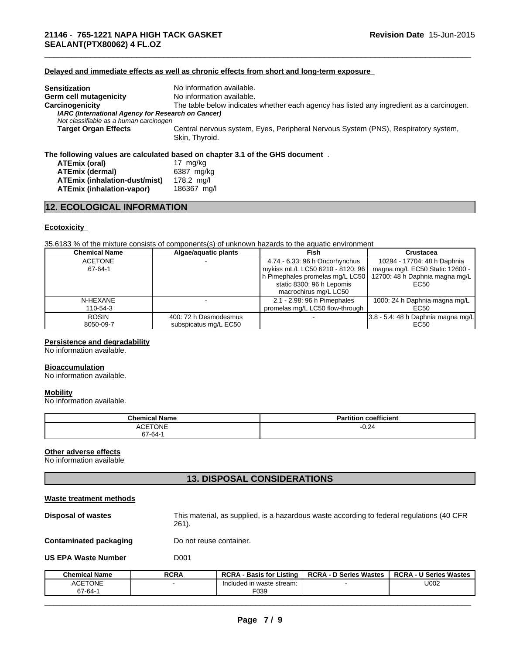# **Delayed and immediate effects as well as chronic effects from short and long-term exposure**

| <b>Sensitization</b>                                                                         | No information available.                                                                            |
|----------------------------------------------------------------------------------------------|------------------------------------------------------------------------------------------------------|
| Germ cell mutagenicity                                                                       | No information available.                                                                            |
| Carcinogenicity                                                                              | The table below indicates whether each agency has listed any ingredient as a carcinogen.             |
| IARC (International Agency for Research on Cancer)<br>Not classifiable as a human carcinogen |                                                                                                      |
| Target Organ Effects                                                                         | Central nervous system, Eyes, Peripheral Nervous System (PNS), Respiratory system,<br>Skin, Thyroid. |
|                                                                                              | The following values are calculated based on chapter 3.1 of the GHS document.                        |

\_\_\_\_\_\_\_\_\_\_\_\_\_\_\_\_\_\_\_\_\_\_\_\_\_\_\_\_\_\_\_\_\_\_\_\_\_\_\_\_\_\_\_\_\_\_\_\_\_\_\_\_\_\_\_\_\_\_\_\_\_\_\_\_\_\_\_\_\_\_\_\_\_\_\_\_\_\_\_\_\_\_\_\_\_\_\_\_\_\_\_\_\_

| <b>ATEmix (oral)</b>          | 17 ma/ka    |
|-------------------------------|-------------|
| ATEmix (dermal)               | 6387 ma/ka  |
| ATEmix (inhalation-dust/mist) | 178.2 ma/l  |
| ATEmix (inhalation-vapor)     | 186367 ma/l |

# **12. ECOLOGICAL INFORMATION**

# **Ecotoxicity**

35.6183 % of the mixture consists of components(s) of unknown hazards to the aquatic environment

| <b>Chemical Name</b> | Algae/aquatic plants  | Fish                             | Crustacea                             |
|----------------------|-----------------------|----------------------------------|---------------------------------------|
| <b>ACETONE</b>       |                       | 4.74 - 6.33: 96 h Oncorhynchus   | 10294 - 17704: 48 h Daphnia           |
| 67-64-1              |                       | mykiss mL/L LC50 6210 - 8120: 96 | magna mg/L EC50 Static 12600 -        |
|                      |                       | h Pimephales promelas mg/L LC50  | 12700: 48 h Daphnia magna mg/L        |
|                      |                       | static 8300: 96 h Lepomis        | EC50                                  |
|                      |                       | macrochirus mg/L LC50            |                                       |
| N-HEXANE             |                       | 2.1 - 2.98: 96 h Pimephales      | 1000: 24 h Daphnia magna mg/L         |
| 110-54-3             |                       | promelas mg/L LC50 flow-through  | EC50                                  |
| <b>ROSIN</b>         | 400: 72 h Desmodesmus |                                  | $3.8 - 5.4$ : 48 h Daphnia magna mg/L |
| 8050-09-7            | subspicatus mg/L EC50 |                                  | EC50                                  |

#### **Persistence and degradability**

No information available.

#### **Bioaccumulation**

No information available.

#### **Mobility**

No information available.

| <b>Chemical Name</b> | $- - -$<br>$-1$<br>coefficient<br>п.<br>m |
|----------------------|-------------------------------------------|
| <b>ACETONE</b>       | $-0.24$                                   |
| ′-64-7د              |                                           |

# **Other adverse effects**

No information available

# **13. DISPOSAL CONSIDERATIONS**

| Waste treatment methods       |                                                                                                       |
|-------------------------------|-------------------------------------------------------------------------------------------------------|
| <b>Disposal of wastes</b>     | This material, as supplied, is a hazardous waste according to federal regulations (40 CFR<br>$261$ ). |
| <b>Contaminated packaging</b> | Do not reuse container.                                                                               |
| <b>US EPA Waste Number</b>    | D001                                                                                                  |

| Chemical Name            | <b>RCRA</b> | <b>RCRA</b><br>Listing<br>Basis for | <b>RCRA</b><br>ת Series Wastes<br>- 0 | <b>U Series Wastes</b><br><b>RCRA</b> |
|--------------------------|-------------|-------------------------------------|---------------------------------------|---------------------------------------|
| <b>ACETONE</b><br>67-64- |             | Included in waste stream:<br>F039   |                                       | U002                                  |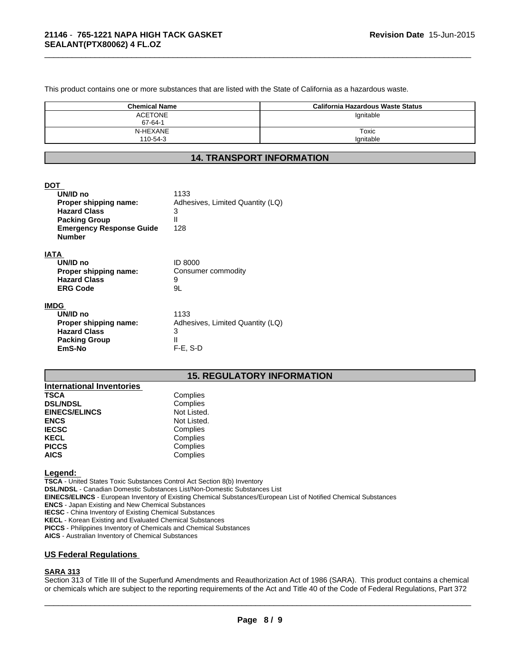This product contains one or more substances that are listed with the State of California as a hazardous waste.

| <b>Chemical Name</b> | California Hazardous Waste Status |
|----------------------|-----------------------------------|
| <b>ACETONE</b>       | Ignitable                         |
| 67-64-1              |                                   |
| N-HEXANE             | Toxic                             |
| 110-54-3             | lgnitable                         |

\_\_\_\_\_\_\_\_\_\_\_\_\_\_\_\_\_\_\_\_\_\_\_\_\_\_\_\_\_\_\_\_\_\_\_\_\_\_\_\_\_\_\_\_\_\_\_\_\_\_\_\_\_\_\_\_\_\_\_\_\_\_\_\_\_\_\_\_\_\_\_\_\_\_\_\_\_\_\_\_\_\_\_\_\_\_\_\_\_\_\_\_\_

# **14. TRANSPORT INFORMATION**

#### **DOT**

| UN/ID no<br>Proper shipping name:<br><b>Hazard Class</b><br><b>Packing Group</b><br><b>Emergency Response Guide</b><br><b>Number</b> | 1133<br>Adhesives, Limited Quantity (LQ)<br>3<br>$\mathsf{II}$<br>128 |
|--------------------------------------------------------------------------------------------------------------------------------------|-----------------------------------------------------------------------|
| IATA                                                                                                                                 |                                                                       |
| UN/ID no                                                                                                                             | ID 8000                                                               |
| Proper shipping name:                                                                                                                | Consumer commodity                                                    |
| <b>Hazard Class</b>                                                                                                                  | 9                                                                     |
| <b>ERG Code</b>                                                                                                                      | 9L                                                                    |
| <b>IMDG</b>                                                                                                                          |                                                                       |
| UN/ID no                                                                                                                             | 1133                                                                  |
| Proner shinning name:                                                                                                                | Adhesives Limited Quantity (LO)                                       |

| UN/ID no              | 1133                             |
|-----------------------|----------------------------------|
| Proper shipping name: | Adhesives, Limited Quantity (LQ) |
| <b>Hazard Class</b>   |                                  |
| <b>Packing Group</b>  |                                  |
| EmS-No                | $F-E. S-D$                       |
|                       |                                  |

# **15. REGULATORY INFORMATION**

| <b>International Inventories</b> |             |
|----------------------------------|-------------|
| <b>TSCA</b>                      | Complies    |
| <b>DSL/NDSL</b>                  | Complies    |
| <b>EINECS/ELINCS</b>             | Not Listed. |
| <b>ENCS</b>                      | Not Listed. |
| <b>IECSC</b>                     | Complies    |
| <b>KECL</b>                      | Complies    |
| <b>PICCS</b>                     | Complies    |
| <b>AICS</b>                      | Complies    |

**Legend:** 

**TSCA** - United States Toxic Substances Control Act Section 8(b) Inventory **DSL/NDSL** - Canadian Domestic Substances List/Non-Domestic Substances List **EINECS/ELINCS** - European Inventory of Existing Chemical Substances/European List of Notified Chemical Substances **ENCS** - Japan Existing and New Chemical Substances **IECSC** - China Inventory of Existing Chemical Substances **KECL** - Korean Existing and Evaluated Chemical Substances **PICCS** - Philippines Inventory of Chemicals and Chemical Substances **AICS** - Australian Inventory of Chemical Substances

## **US Federal Regulations**

# **SARA 313**

Section 313 of Title III of the Superfund Amendments and Reauthorization Act of 1986 (SARA). This product contains a chemical or chemicals which are subject to the reporting requirements of the Act and Title 40 of the Code of Federal Regulations, Part 372